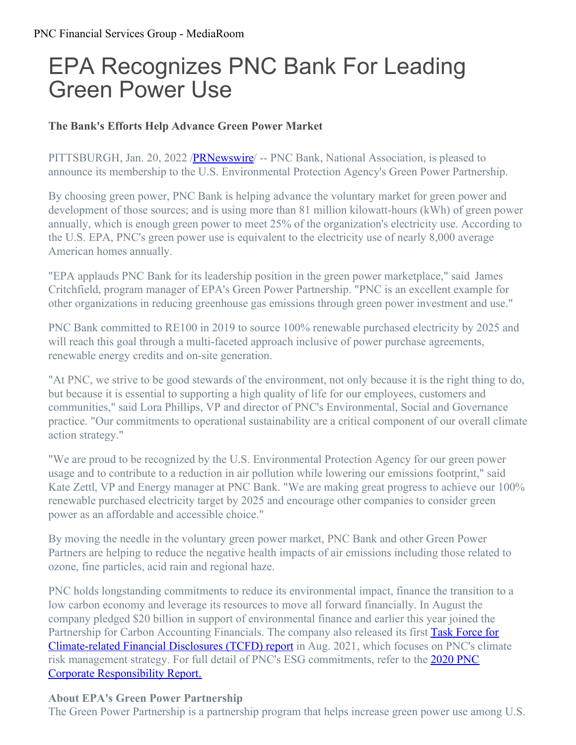# EPA Recognizes PNC Bank For Leading Green Power Use

## **The Bank's Efforts Help Advance Green Power Market**

PITTSBURGH, Jan. 20, 2022 [/PRNewswire](http://www.prnewswire.com/)/ -- PNC Bank, National Association, is pleased to announce its membership to the U.S. Environmental Protection Agency's Green Power Partnership.

By choosing green power, PNC Bank is helping advance the voluntary market for green power and development of those sources; and is using more than 81 million kilowatt-hours (kWh) of green power annually, which is enough green power to meet 25% of the organization's electricity use. According to the U.S. EPA, PNC's green power use is equivalent to the electricity use of nearly 8,000 average American homes annually.

"EPA applauds PNC Bank for its leadership position in the green power marketplace," said James Critchfield, program manager of EPA's Green Power Partnership. "PNC is an excellent example for other organizations in reducing greenhouse gas emissions through green power investment and use."

PNC Bank committed to RE100 in 2019 to source 100% renewable purchased electricity by 2025 and will reach this goal through a multi-faceted approach inclusive of power purchase agreements, renewable energy credits and on-site generation.

"At PNC, we strive to be good stewards of the environment, not only because it is the right thing to do, but because it is essential to supporting a high quality of life for our employees, customers and communities," said Lora Phillips, VP and director of PNC's Environmental, Social and Governance practice. "Our commitments to operational sustainability are a critical component of our overall climate action strategy."

"We are proud to be recognized by the U.S. Environmental Protection Agency for our green power usage and to contribute to a reduction in air pollution while lowering our emissions footprint," said Kate Zettl, VP and Energy manager at PNC Bank. "We are making great progress to achieve our 100% renewable purchased electricity target by 2025 and encourage other companies to consider green power as an affordable and accessible choice."

By moving the needle in the voluntary green power market, PNC Bank and other Green Power Partners are helping to reduce the negative health impacts of air emissions including those related to ozone, fine particles, acid rain and regional haze.

PNC holds longstanding commitments to reduce its environmental impact, finance the transition to a low carbon economy and leverage its resources to move all forward financially. In August the company pledged \$20 billion in support of environmental finance and earlier this year joined the Partnership for Carbon Accounting Financials. The company also released its first Task Force for [Climate-related](https://www.pnc.com/content/dam/pnc-com/pdf/aboutpnc/CorporateResponsibilityReports/PNC_TCFD_Report_2020.pdf) Financial Disclosures (TCFD) report in Aug. 2021, which focuses on PNC's climate risk management strategy. For full detail of PNC's ESG [commitments,](https://www.pnc.com/content/dam/pnc-com/pdf/aboutpnc/CorporateResponsibilityReports/PNC_Corporate_Responsibility_Report_2020.pdf) refer to the **2020 PNC** Corporate Responsibility Report.

### **About EPA's Green Power Partnership**

The Green Power Partnership is a partnership program that helps increase green power use among U.S.